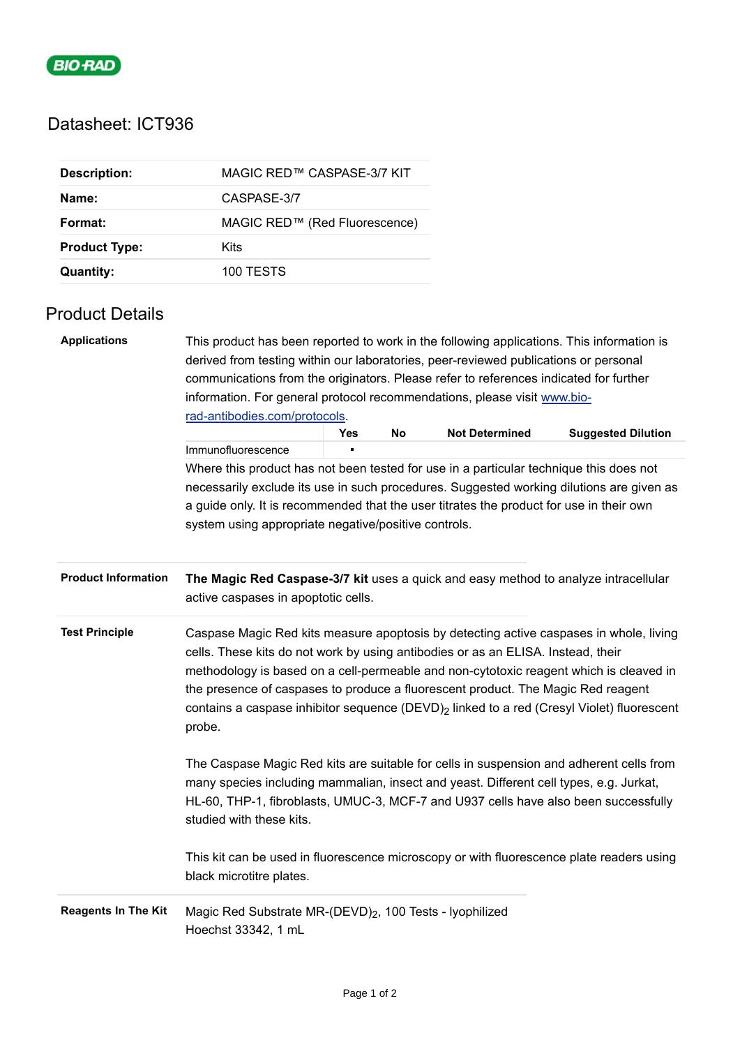

## Datasheet: ICT936

| <b>Description:</b>  | MAGIC RED™ CASPASE-3/7 KIT    |
|----------------------|-------------------------------|
| Name:                | CASPASE-3/7                   |
| Format:              | MAGIC RED™ (Red Fluorescence) |
| <b>Product Type:</b> | Kits                          |
| Quantity:            | 100 TESTS                     |

## Product Details

| <b>Applications</b>        | This product has been reported to work in the following applications. This information is<br>derived from testing within our laboratories, peer-reviewed publications or personal<br>communications from the originators. Please refer to references indicated for further<br>information. For general protocol recommendations, please visit www.bio-<br>rad-antibodies.com/protocols.                                                                                     |     |    |                       |                           |  |
|----------------------------|-----------------------------------------------------------------------------------------------------------------------------------------------------------------------------------------------------------------------------------------------------------------------------------------------------------------------------------------------------------------------------------------------------------------------------------------------------------------------------|-----|----|-----------------------|---------------------------|--|
|                            |                                                                                                                                                                                                                                                                                                                                                                                                                                                                             | Yes | No | <b>Not Determined</b> | <b>Suggested Dilution</b> |  |
|                            | Immunofluorescence                                                                                                                                                                                                                                                                                                                                                                                                                                                          |     |    |                       |                           |  |
|                            | Where this product has not been tested for use in a particular technique this does not                                                                                                                                                                                                                                                                                                                                                                                      |     |    |                       |                           |  |
|                            | necessarily exclude its use in such procedures. Suggested working dilutions are given as                                                                                                                                                                                                                                                                                                                                                                                    |     |    |                       |                           |  |
|                            | a guide only. It is recommended that the user titrates the product for use in their own                                                                                                                                                                                                                                                                                                                                                                                     |     |    |                       |                           |  |
|                            | system using appropriate negative/positive controls.                                                                                                                                                                                                                                                                                                                                                                                                                        |     |    |                       |                           |  |
| <b>Product Information</b> | The Magic Red Caspase-3/7 kit uses a quick and easy method to analyze intracellular<br>active caspases in apoptotic cells.                                                                                                                                                                                                                                                                                                                                                  |     |    |                       |                           |  |
| <b>Test Principle</b>      | Caspase Magic Red kits measure apoptosis by detecting active caspases in whole, living<br>cells. These kits do not work by using antibodies or as an ELISA. Instead, their<br>methodology is based on a cell-permeable and non-cytotoxic reagent which is cleaved in<br>the presence of caspases to produce a fluorescent product. The Magic Red reagent<br>contains a caspase inhibitor sequence (DEVD) <sub>2</sub> linked to a red (Cresyl Violet) fluorescent<br>probe. |     |    |                       |                           |  |
|                            | The Caspase Magic Red kits are suitable for cells in suspension and adherent cells from<br>many species including mammalian, insect and yeast. Different cell types, e.g. Jurkat,<br>HL-60, THP-1, fibroblasts, UMUC-3, MCF-7 and U937 cells have also been successfully<br>studied with these kits.                                                                                                                                                                        |     |    |                       |                           |  |
|                            | This kit can be used in fluorescence microscopy or with fluorescence plate readers using<br>black microtitre plates.                                                                                                                                                                                                                                                                                                                                                        |     |    |                       |                           |  |
| <b>Reagents In The Kit</b> | Magic Red Substrate MR-(DEVD) <sub>2</sub> , 100 Tests - lyophilized<br>Hoechst 33342, 1 mL                                                                                                                                                                                                                                                                                                                                                                                 |     |    |                       |                           |  |